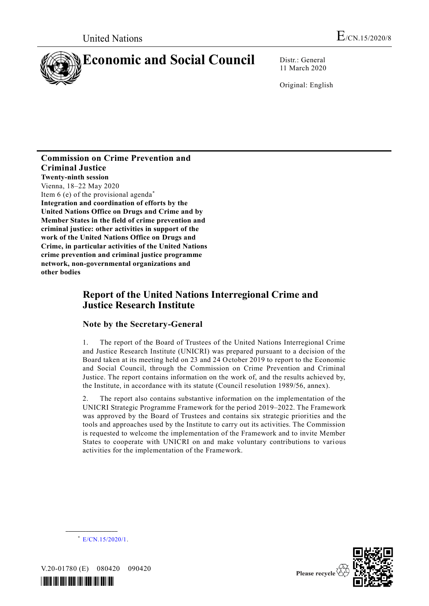

11 March 2020

Original: English

#### **Commission on Crime Prevention and Criminal Justice Twenty-ninth session** Vienna, 18–22 May 2020 Item  $6$  (e) of the provisional agenda<sup>\*</sup> **Integration and coordination of efforts by the United Nations Office on Drugs and Crime and by Member States in the field of crime prevention and criminal justice: other activities in support of the work of the United Nations Office on Drugs and Crime, in particular activities of the United Nations crime prevention and criminal justice programme**

**network, non-governmental organizations and other bodies**

# **Report of the United Nations Interregional Crime and Justice Research Institute**

### **Note by the Secretary-General**

1. The report of the Board of Trustees of the United Nations Interregional Crime and Justice Research Institute (UNICRI) was prepared pursuant to a decision of the Board taken at its meeting held on 23 and 24 October 2019 to report to the Economic and Social Council, through the Commission on Crime Prevention and Criminal Justice. The report contains information on the work of, and the results achieved by, the Institute, in accordance with its statute (Council resolution 1989/56, annex).

2. The report also contains substantive information on the implementation of the UNICRI Strategic Programme Framework for the period 2019–2022. The Framework was approved by the Board of Trustees and contains six strategic priorities and the tools and approaches used by the Institute to carry out its activities. The Commission is requested to welcome the implementation of the Framework and to invite Member States to cooperate with UNICRI on and make voluntary contributions to various activities for the implementation of the Framework.



V.20-01780 (E) 080420 090420

**\_\_\_\_\_\_\_\_\_\_\_\_\_\_\_\_\_\_**





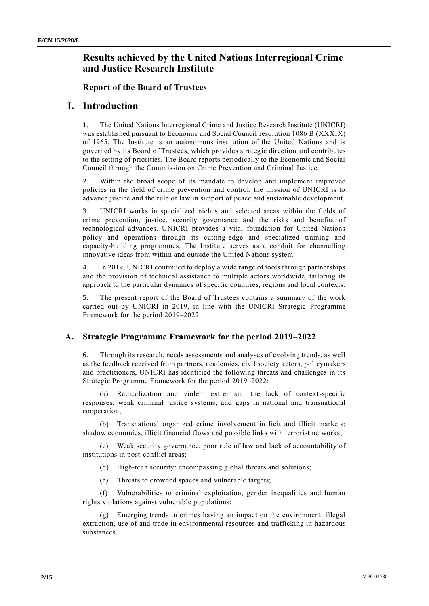# **Results achieved by the United Nations Interregional Crime and Justice Research Institute**

#### **Report of the Board of Trustees**

### **I. Introduction**

1. The United Nations Interregional Crime and Justice Research Institute (UNICRI) was established pursuant to Economic and Social Council resolution 1086 B (XXXIX) of 1965. The Institute is an autonomous institution of the United Nations and is governed by its Board of Trustees, which provides strategic direction and contributes to the setting of priorities. The Board reports periodically to the Economic and Social Council through the Commission on Crime Prevention and Criminal Justice.

2. Within the broad scope of its mandate to develop and implement improved policies in the field of crime prevention and control, the mission of UNICRI is to advance justice and the rule of law in support of peace and sustainable development.

3. UNICRI works in specialized niches and selected areas within the fields of crime prevention, justice, security governance and the risks and benefits of technological advances. UNICRI provides a vital foundation for United Nations policy and operations through its cutting-edge and specialized training and capacity-building programmes. The Institute serves as a conduit for channelling innovative ideas from within and outside the United Nations system.

4. In 2019, UNICRI continued to deploy a wide range of tools through partnerships and the provision of technical assistance to multiple actors worldwide, tailoring its approach to the particular dynamics of specific countries, regions and local contexts.

5. The present report of the Board of Trustees contains a summary of the work carried out by UNICRI in 2019, in line with the UNICRI Strategic Programme Framework for the period 2019–2022.

### **A. Strategic Programme Framework for the period 2019–2022**

6. Through its research, needs assessments and analyses of evolving trends, as well as the feedback received from partners, academics, civil society a ctors, policymakers and practitioners, UNICRI has identified the following threats and challenges in its Strategic Programme Framework for the period 2019–2022:

(a) Radicalization and violent extremism: the lack of context-specific responses, weak criminal justice systems, and gaps in national and transnational cooperation;

(b) Transnational organized crime involvement in licit and illicit markets: shadow economies, illicit financial flows and possible links with terrorist networks;

(c) Weak security governance, poor rule of law and lack of accountability of institutions in post-conflict areas;

- (d) High-tech security: encompassing global threats and solutions;
- (e) Threats to crowded spaces and vulnerable targets;

(f) Vulnerabilities to criminal exploitation, gender inequalities and human rights violations against vulnerable populations;

(g) Emerging trends in crimes having an impact on the environment: illegal extraction, use of and trade in environmental resources and trafficking in hazardous substances.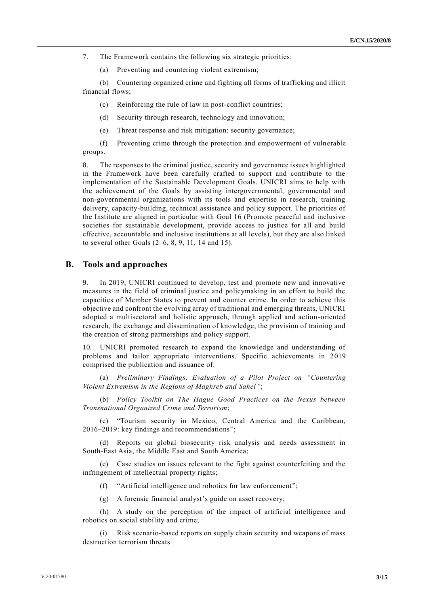7. The Framework contains the following six strategic priorities:

(a) Preventing and countering violent extremism;

(b) Countering organized crime and fighting all forms of trafficking and illicit financial flows;

(c) Reinforcing the rule of law in post-conflict countries;

(d) Security through research, technology and innovation;

(e) Threat response and risk mitigation: security governance;

(f) Preventing crime through the protection and empowerment of vulnerable groups.

8. The responses to the criminal justice, security and governance issues highlighted in the Framework have been carefully crafted to support and contribute to the implementation of the Sustainable Development Goals. UNICRI aims to help with the achievement of the Goals by assisting intergovernmental, governmental and non-governmental organizations with its tools and expertise in research, training delivery, capacity-building, technical assistance and policy support. The priorities of the Institute are aligned in particular with Goal 16 (Promote peaceful and inclusive societies for sustainable development, provide access to justice for all and build effective, accountable and inclusive institutions at all levels), but they are also linked to several other Goals (2–6, 8, 9, 11, 14 and 15).

#### **B. Tools and approaches**

9. In 2019, UNICRI continued to develop, test and promote new and innovative measures in the field of criminal justice and policymaking in an effort to build the capacities of Member States to prevent and counter crime. In order to achieve this objective and confront the evolving array of traditional and emerging threats, UNICRI adopted a multisectoral and holistic approach, through applied and action-oriented research, the exchange and dissemination of knowledge, the provision of training and the creation of strong partnerships and policy support.

UNICRI promoted research to expand the knowledge and understanding of problems and tailor appropriate interventions. Specific achievements in 2019 comprised the publication and issuance of:

(a) *Preliminary Findings: Evaluation of a Pilot Project on "Countering Violent Extremism in the Regions of Maghreb and Sahel"*;

(b) *Policy Toolkit on The Hague Good Practices on the Nexus between Transnational Organized Crime and Terrorism*;

(c) "Tourism security in Mexico, Central America and the Caribbean, 2016–2019: key findings and recommendations";

(d) Reports on global biosecurity risk analysis and needs assessment in South-East Asia, the Middle East and South America;

(e) Case studies on issues relevant to the fight against counterfeiting and the infringement of intellectual property rights;

(f) "Artificial intelligence and robotics for law enforcement ";

(g) A forensic financial analyst's guide on asset recovery;

(h) A study on the perception of the impact of artificial intelligence and robotics on social stability and crime;

Risk scenario-based reports on supply chain security and weapons of mass destruction terrorism threats.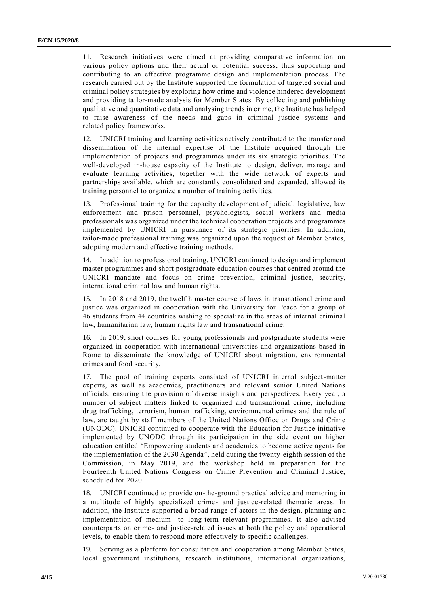11. Research initiatives were aimed at providing comparative information on various policy options and their actual or potential success, thus supporting and contributing to an effective programme design and implementation process. The research carried out by the Institute supported the formulation of targeted social and criminal policy strategies by exploring how crime and violence hindered development and providing tailor-made analysis for Member States. By collecting and publishing qualitative and quantitative data and analysing trends in crime, the Institute has helped to raise awareness of the needs and gaps in criminal justice systems and related policy frameworks.

12. UNICRI training and learning activities actively contributed to the transfer and dissemination of the internal expertise of the Institute acquired through the implementation of projects and programmes under its six strategic priorities. The well-developed in-house capacity of the Institute to design, deliver, manage and evaluate learning activities, together with the wide network of experts and partnerships available, which are constantly consolidated and expanded, allowed its training personnel to organize a number of training activities.

13. Professional training for the capacity development of judicial, legislative, law enforcement and prison personnel, psychologists, social workers and media professionals was organized under the technical cooperation projects and programmes implemented by UNICRI in pursuance of its strategic priorities. In addition, tailor-made professional training was organized upon the request of Member States, adopting modern and effective training methods.

14. In addition to professional training, UNICRI continued to design and implement master programmes and short postgraduate education courses that centred around the UNICRI mandate and focus on crime prevention, criminal justice, security, international criminal law and human rights.

15. In 2018 and 2019, the twelfth master course of laws in transnational crime and justice was organized in cooperation with the University for Peace for a group of 46 students from 44 countries wishing to specialize in the areas of internal criminal law, humanitarian law, human rights law and transnational crime.

16. In 2019, short courses for young professionals and postgraduate students were organized in cooperation with international universities and organizations based in Rome to disseminate the knowledge of UNICRI about migration, environmental crimes and food security.

17. The pool of training experts consisted of UNICRI internal subject-matter experts, as well as academics, practitioners and relevant senior United Nations officials, ensuring the provision of diverse insights and perspectives. Every year, a number of subject matters linked to organized and transnational crime, including drug trafficking, terrorism, human trafficking, environmental crimes and the rule of law, are taught by staff members of the United Nations Office on Drugs and Crime (UNODC). UNICRI continued to cooperate with the Education for Justice initiative implemented by UNODC through its participation in the side event on higher education entitled "Empowering students and academics to become active agents for the implementation of the 2030 Agenda", held during the twenty-eighth session of the Commission, in May 2019, and the workshop held in preparation for the Fourteenth United Nations Congress on Crime Prevention and Criminal Justice, scheduled for 2020.

18. UNICRI continued to provide on-the-ground practical advice and mentoring in a multitude of highly specialized crime- and justice-related thematic areas. In addition, the Institute supported a broad range of actors in the design, planning an d implementation of medium- to long-term relevant programmes. It also advised counterparts on crime- and justice-related issues at both the policy and operational levels, to enable them to respond more effectively to specific challenges.

19. Serving as a platform for consultation and cooperation among Member States, local government institutions, research institutions, international organizations,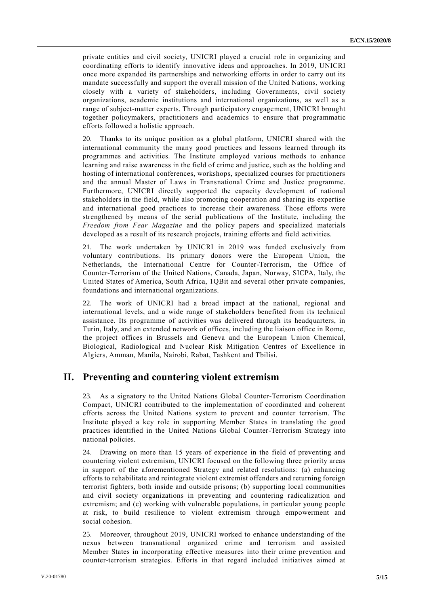private entities and civil society, UNICRI played a crucial role in organizing and coordinating efforts to identify innovative ideas and approaches. In 2019, UNICRI once more expanded its partnerships and networking efforts in order to carry out its mandate successfully and support the overall mission of the United Nations, working closely with a variety of stakeholders, including Governments, civil society organizations, academic institutions and international organizations, as well as a range of subject-matter experts. Through participatory engagement, UNICRI brought together policymakers, practitioners and academics to ensure that programmatic efforts followed a holistic approach.

20. Thanks to its unique position as a global platform, UNICRI shared with the international community the many good practices and lessons learned through its programmes and activities. The Institute employed various methods to enhance learning and raise awareness in the field of crime and justice, such as the holding and hosting of international conferences, workshops, specialized courses for practitioners and the annual Master of Laws in Transnational Crime and Justice programme. Furthermore, UNICRI directly supported the capacity development of national stakeholders in the field, while also promoting cooperation and sharing its expertise and international good practices to increase their awareness. Those efforts were strengthened by means of the serial publications of the Institute, including the *Freedom from Fear Magazine* and the policy papers and specialized materials developed as a result of its research projects, training efforts and field activities.

21. The work undertaken by UNICRI in 2019 was funded exclusively from voluntary contributions. Its primary donors were the European Union, the Netherlands, the International Centre for Counter-Terrorism, the Office of Counter-Terrorism of the United Nations, Canada, Japan, Norway, SICPA, Italy, the United States of America, South Africa, 1QBit and several other private companies, foundations and international organizations.

22. The work of UNICRI had a broad impact at the national, regional and international levels, and a wide range of stakeholders benefited from its technical assistance. Its programme of activities was delivered through its headquarters, in Turin, Italy, and an extended network of offices, including the liaison office in Rome, the project offices in Brussels and Geneva and the European Union Chemical, Biological, Radiological and Nuclear Risk Mitigation Centres of Excellence in Algiers, Amman, Manila, Nairobi, Rabat, Tashkent and Tbilisi.

### **II. Preventing and countering violent extremism**

23. As a signatory to the United Nations Global Counter-Terrorism Coordination Compact, UNICRI contributed to the implementation of coordinated and coherent efforts across the United Nations system to prevent and counter terrorism. The Institute played a key role in supporting Member States in translating the good practices identified in the United Nations Global Counter-Terrorism Strategy into national policies.

24. Drawing on more than 15 years of experience in the field of preventing and countering violent extremism, UNICRI focused on the following three priority areas in support of the aforementioned Strategy and related resolutions: (a) enhancing efforts to rehabilitate and reintegrate violent extremist offenders and returning foreign terrorist fighters, both inside and outside prisons; (b) supporting local communities and civil society organizations in preventing and countering radicalization and extremism; and (c) working with vulnerable populations, in particular young people at risk, to build resilience to violent extremism through empowerment and social cohesion.

25. Moreover, throughout 2019, UNICRI worked to enhance understanding of the nexus between transnational organized crime and terrorism and assisted Member States in incorporating effective measures into their crime prevention and counter-terrorism strategies. Efforts in that regard included initiatives aimed at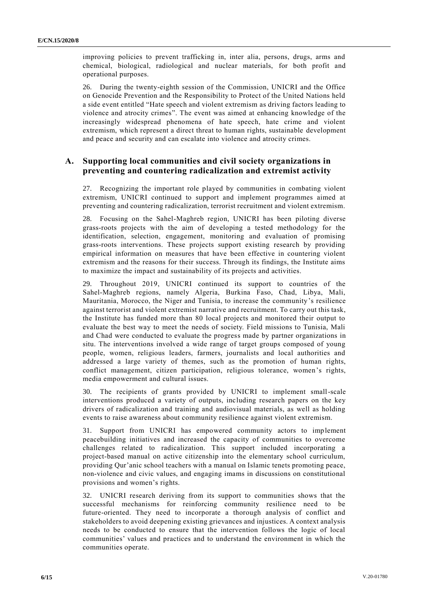improving policies to prevent trafficking in, inter alia, persons, drugs, arms and chemical, biological, radiological and nuclear materials, for both profit and operational purposes.

26. During the twenty-eighth session of the Commission, UNICRI and the Office on Genocide Prevention and the Responsibility to Protect of the United Nations held a side event entitled "Hate speech and violent extremism as driving factors leading to violence and atrocity crimes". The event was aimed at enhancing knowledge of the increasingly widespread phenomena of hate speech, hate crime and violent extremism, which represent a direct threat to human rights, sustainable development and peace and security and can escalate into violence and atrocity crimes.

#### **A. Supporting local communities and civil society organizations in preventing and countering radicalization and extremist activity**

27. Recognizing the important role played by communities in combating violent extremism, UNICRI continued to support and implement programmes aimed at preventing and countering radicalization, terrorist recruitment and violent extremism.

28. Focusing on the Sahel-Maghreb region, UNICRI has been piloting diverse grass-roots projects with the aim of developing a tested methodology for the identification, selection, engagement, monitoring and evaluation of promising grass-roots interventions. These projects support existing research by providing empirical information on measures that have been effective in countering violent extremism and the reasons for their success. Through its findings, the Institute aims to maximize the impact and sustainability of its projects and activities.

29. Throughout 2019, UNICRI continued its support to countries of the Sahel-Maghreb regions, namely Algeria, Burkina Faso, Chad, Libya, Mali, Mauritania, Morocco, the Niger and Tunisia, to increase the community's resilience against terrorist and violent extremist narrative and recruitment. To carry out this task, the Institute has funded more than 80 local projects and monitored their output to evaluate the best way to meet the needs of society. Field missions to Tunisia, Mali and Chad were conducted to evaluate the progress made by partner organizations in situ. The interventions involved a wide range of target groups composed of young people, women, religious leaders, farmers, journalists and local authorities and addressed a large variety of themes, such as the promotion of human rights, conflict management, citizen participation, religious tolerance, women's rights, media empowerment and cultural issues.

30. The recipients of grants provided by UNICRI to implement small-scale interventions produced a variety of outputs, including research papers on the key drivers of radicalization and training and audiovisual materials, as well as holding events to raise awareness about community resilience against violent extremism.

31. Support from UNICRI has empowered community actors to implement peacebuilding initiatives and increased the capacity of communities to overcome challenges related to radicalization. This support included incorporating a project-based manual on active citizenship into the elementary school curriculum, providing Qur'anic school teachers with a manual on Islamic tenets promoting peace, non-violence and civic values, and engaging imams in discussions on constitutional provisions and women's rights.

32. UNICRI research deriving from its support to communities shows that the successful mechanisms for reinforcing community resilience need to be future-oriented. They need to incorporate a thorough analysis of conflict and stakeholders to avoid deepening existing grievances and injustices. A context analysis needs to be conducted to ensure that the intervention follows the logic of local communities' values and practices and to understand the environment in which the communities operate.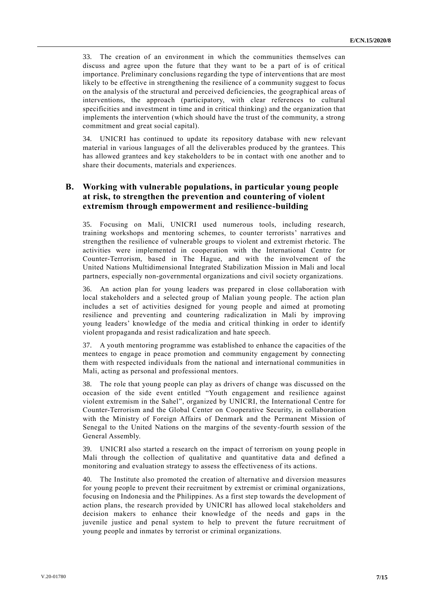33. The creation of an environment in which the communities themselves can discuss and agree upon the future that they want to be a part of is of critical importance. Preliminary conclusions regarding the type of interventions that are most likely to be effective in strengthening the resilience of a community suggest to focus on the analysis of the structural and perceived deficiencies, the geographical areas of interventions, the approach (participatory, with clear references to cultural specificities and investment in time and in critical thinking) and the organization that implements the intervention (which should have the trust of the community, a strong commitment and great social capital).

34. UNICRI has continued to update its repository database with new relevant material in various languages of all the deliverables produced by the grantees. This has allowed grantees and key stakeholders to be in contact with one another and to share their documents, materials and experiences.

### **B. Working with vulnerable populations, in particular young people at risk, to strengthen the prevention and countering of violent extremism through empowerment and resilience-building**

35. Focusing on Mali, UNICRI used numerous tools, including research, training workshops and mentoring schemes, to counter terrorists' narratives and strengthen the resilience of vulnerable groups to violent and extremist rhetoric. The activities were implemented in cooperation with the International Centre for Counter-Terrorism, based in The Hague, and with the involvement of the United Nations Multidimensional Integrated Stabilization Mission in Mali and local partners, especially non-governmental organizations and civil society organizations.

36. An action plan for young leaders was prepared in close collaboration with local stakeholders and a selected group of Malian young people. The action plan includes a set of activities designed for young people and aimed at promoting resilience and preventing and countering radicalization in Mali by improving young leaders' knowledge of the media and critical thinking in order to identify violent propaganda and resist radicalization and hate speech.

37. A youth mentoring programme was established to enhance the capacities of the mentees to engage in peace promotion and community engagement by connecting them with respected individuals from the national and international communities in Mali, acting as personal and professional mentors.

38. The role that young people can play as drivers of change was discussed on the occasion of the side event entitled "Youth engagement and resilience against violent extremism in the Sahel", organized by UNICRI, the International Centre for Counter-Terrorism and the Global Center on Cooperative Security, in collaboration with the Ministry of Foreign Affairs of Denmark and the Permanent Mission of Senegal to the United Nations on the margins of the seventy-fourth session of the General Assembly.

39. UNICRI also started a research on the impact of terrorism on young people in Mali through the collection of qualitative and quantitative data and defined a monitoring and evaluation strategy to assess the effectiveness of its actions.

40. The Institute also promoted the creation of alternative and diversion measures for young people to prevent their recruitment by extremist or criminal organizations, focusing on Indonesia and the Philippines. As a first step towards the development of action plans, the research provided by UNICRI has allowed local stakeholders and decision makers to enhance their knowledge of the needs and gaps in the juvenile justice and penal system to help to prevent the future recruitment of young people and inmates by terrorist or criminal organizations.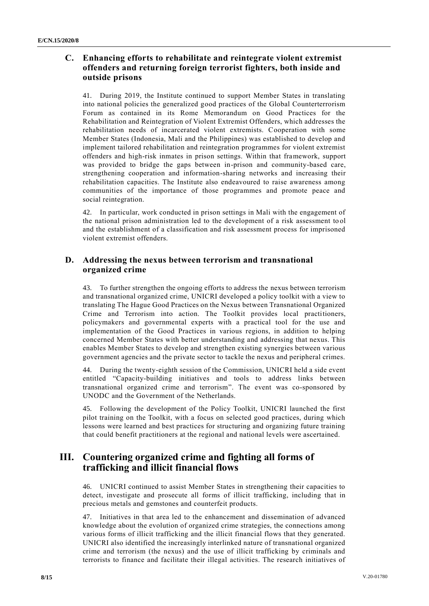### **C. Enhancing efforts to rehabilitate and reintegrate violent extremist offenders and returning foreign terrorist fighters, both inside and outside prisons**

41. During 2019, the Institute continued to support Member States in translating into national policies the generalized good practices of the Global Counterterrorism Forum as contained in its Rome Memorandum on Good Practices for the Rehabilitation and Reintegration of Violent Extremist Offenders, which addresses the rehabilitation needs of incarcerated violent extremists. Cooperation with some Member States (Indonesia, Mali and the Philippines) was established to develop and implement tailored rehabilitation and reintegration programmes for violent extremist offenders and high-risk inmates in prison settings. Within that framework, support was provided to bridge the gaps between in-prison and community-based care, strengthening cooperation and information-sharing networks and increasing their rehabilitation capacities. The Institute also endeavoured to raise awareness among communities of the importance of those programmes and promote peace and social reintegration.

42. In particular, work conducted in prison settings in Mali with the engagement of the national prison administration led to the development of a risk assessment to ol and the establishment of a classification and risk assessment process for imprisoned violent extremist offenders.

### **D. Addressing the nexus between terrorism and transnational organized crime**

43. To further strengthen the ongoing efforts to address the nexus between terrorism and transnational organized crime, UNICRI developed a policy toolkit with a view to translating The Hague Good Practices on the Nexus between Transnational Organized Crime and Terrorism into action. The Toolkit provides local practitioners, policymakers and governmental experts with a practical tool for the use and implementation of the Good Practices in various regions, in addition to helping concerned Member States with better understanding and addressing that nexus. This enables Member States to develop and strengthen existing synergies between various government agencies and the private sector to tackle the nexus and peripheral crimes.

44. During the twenty-eighth session of the Commission, UNICRI held a side event entitled "Capacity-building initiatives and tools to address links between transnational organized crime and terrorism". The event was co-sponsored by UNODC and the Government of the Netherlands.

45. Following the development of the Policy Toolkit, UNICRI launched the first pilot training on the Toolkit, with a focus on selected good practices, during which lessons were learned and best practices for structuring and organizing future training that could benefit practitioners at the regional and national levels were ascertained.

# **III. Countering organized crime and fighting all forms of trafficking and illicit financial flows**

46. UNICRI continued to assist Member States in strengthening their capacities to detect, investigate and prosecute all forms of illicit trafficking, including that in precious metals and gemstones and counterfeit products.

Initiatives in that area led to the enhancement and dissemination of advanced knowledge about the evolution of organized crime strategies, the connections among various forms of illicit trafficking and the illicit financial flows that they generated. UNICRI also identified the increasingly interlinked nature of transnational organized crime and terrorism (the nexus) and the use of illicit trafficking by criminals and terrorists to finance and facilitate their illegal activities. The research initiatives of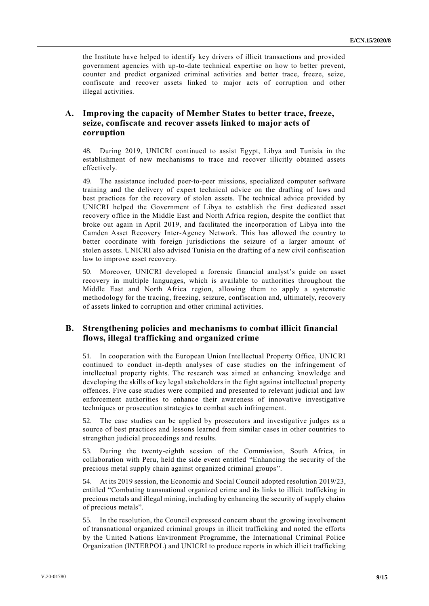the Institute have helped to identify key drivers of illicit transactions and provided government agencies with up-to-date technical expertise on how to better prevent, counter and predict organized criminal activities and better trace, freeze, seize, confiscate and recover assets linked to major acts of corruption and other illegal activities.

#### **A. Improving the capacity of Member States to better trace, freeze, seize, confiscate and recover assets linked to major acts of corruption**

48. During 2019, UNICRI continued to assist Egypt, Libya and Tunisia in the establishment of new mechanisms to trace and recover illicitly obtained assets effectively.

49. The assistance included peer-to-peer missions, specialized computer software training and the delivery of expert technical advice on the drafting of laws and best practices for the recovery of stolen assets. The technical advice provided by UNICRI helped the Government of Libya to establish the first dedicated asset recovery office in the Middle East and North Africa region, despite the conflict that broke out again in April 2019, and facilitated the incorporation of Libya into the Camden Asset Recovery Inter-Agency Network. This has allowed the country to better coordinate with foreign jurisdictions the seizure of a larger amount of stolen assets. UNICRI also advised Tunisia on the drafting of a new civil confiscation law to improve asset recovery.

50. Moreover, UNICRI developed a forensic financial analyst's guide on asset recovery in multiple languages, which is available to authorities throughout the Middle East and North Africa region, allowing them to apply a systematic methodology for the tracing, freezing, seizure, confiscation and, ultimately, recovery of assets linked to corruption and other criminal activities.

### **B. Strengthening policies and mechanisms to combat illicit financial flows, illegal trafficking and organized crime**

51. In cooperation with the European Union Intellectual Property Office, UNICRI continued to conduct in-depth analyses of case studies on the infringement of intellectual property rights. The research was aimed at enhancing knowledge and developing the skills of key legal stakeholders in the fight against intellectual property offences. Five case studies were compiled and presented to relevant judicial and law enforcement authorities to enhance their awareness of innovative investigative techniques or prosecution strategies to combat such infringement.

52. The case studies can be applied by prosecutors and investigative judges as a source of best practices and lessons learned from similar cases in other countries to strengthen judicial proceedings and results.

53. During the twenty-eighth session of the Commission, South Africa, in collaboration with Peru, held the side event entitled "Enhancing the security of the precious metal supply chain against organized criminal groups".

54. At its 2019 session, the Economic and Social Council adopted resolution 2019/23, entitled "Combating transnational organized crime and its links to illicit trafficking in precious metals and illegal mining, including by enhancing the security of supply chains of precious metals".

55. In the resolution, the Council expressed concern about the growing involvement of transnational organized criminal groups in illicit trafficking and noted the efforts by the United Nations Environment Programme, the International Criminal Police Organization (INTERPOL) and UNICRI to produce reports in which illicit trafficking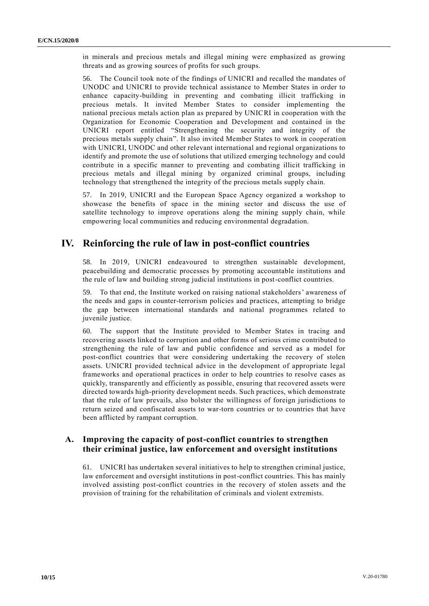in minerals and precious metals and illegal mining were emphasized as growing threats and as growing sources of profits for such groups.

56. The Council took note of the findings of UNICRI and recalled the mandates of UNODC and UNICRI to provide technical assistance to Member States in order to enhance capacity-building in preventing and combating illicit trafficking in precious metals. It invited Member States to consider implementing the national precious metals action plan as prepared by UNICRI in cooperation with the Organization for Economic Cooperation and Development and contained in the UNICRI report entitled "Strengthening the security and integrity of the precious metals supply chain". It also invited Member States to work in cooperation with UNICRI, UNODC and other relevant international and regional organizations to identify and promote the use of solutions that utilized emerging technology and could contribute in a specific manner to preventing and combating illicit trafficking in precious metals and illegal mining by organized criminal groups, including technology that strengthened the integrity of the precious metals supply chain.

57. In 2019, UNICRI and the European Space Agency organized a workshop to showcase the benefits of space in the mining sector and discuss the use of satellite technology to improve operations along the mining supply chain, while empowering local communities and reducing environmental degradation.

## **IV. Reinforcing the rule of law in post-conflict countries**

58. In 2019, UNICRI endeavoured to strengthen sustainable development, peacebuilding and democratic processes by promoting accountable institutions and the rule of law and building strong judicial institutions in post-conflict countries.

59. To that end, the Institute worked on raising national stakeholders' awareness of the needs and gaps in counter-terrorism policies and practices, attempting to bridge the gap between international standards and national programmes related to juvenile justice.

60. The support that the Institute provided to Member States in tracing and recovering assets linked to corruption and other forms of serious crime contributed to strengthening the rule of law and public confidence and served as a model for post-conflict countries that were considering undertaking the recovery of stolen assets. UNICRI provided technical advice in the development of appropriate legal frameworks and operational practices in order to help countries to resolve cases as quickly, transparently and efficiently as possible, ensuring that recovered assets were directed towards high-priority development needs. Such practices, which demonstrate that the rule of law prevails, also bolster the willingness of foreign jurisdictions to return seized and confiscated assets to war-torn countries or to countries that have been afflicted by rampant corruption.

#### **A. Improving the capacity of post-conflict countries to strengthen their criminal justice, law enforcement and oversight institutions**

61. UNICRI has undertaken several initiatives to help to strengthen criminal justice, law enforcement and oversight institutions in post-conflict countries. This has mainly involved assisting post-conflict countries in the recovery of stolen assets and the provision of training for the rehabilitation of criminals and violent extremists.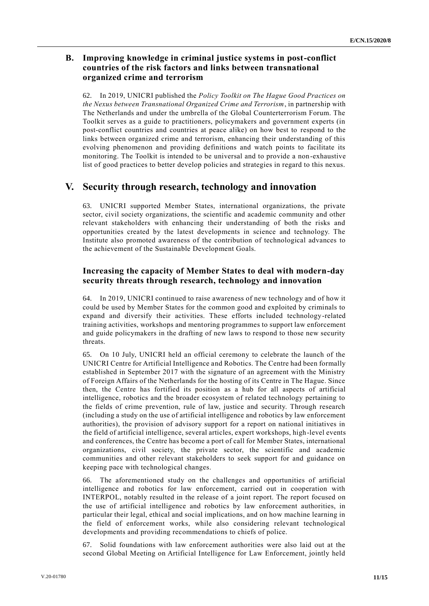#### **B. Improving knowledge in criminal justice systems in post-conflict countries of the risk factors and links between transnational organized crime and terrorism**

62. In 2019, UNICRI published the *Policy Toolkit on The Hague Good Practices on the Nexus between Transnational Organized Crime and Terrorism*, in partnership with The Netherlands and under the umbrella of the Global Counterterrorism Forum. The Toolkit serves as a guide to practitioners, policymakers and government experts (in post-conflict countries and countries at peace alike) on how best to respond to the links between organized crime and terrorism, enhancing their understanding of this evolving phenomenon and providing definitions and watch points to facilitate its monitoring. The Toolkit is intended to be universal and to provide a non-exhaustive list of good practices to better develop policies and strategies in regard to this nexus.

## **V. Security through research, technology and innovation**

63. UNICRI supported Member States, international organizations, the private sector, civil society organizations, the scientific and academic community and other relevant stakeholders with enhancing their understanding of both the risks and opportunities created by the latest developments in science and technology. The Institute also promoted awareness of the contribution of technological advances to the achievement of the Sustainable Development Goals.

#### **Increasing the capacity of Member States to deal with modern-day security threats through research, technology and innovation**

64. In 2019, UNICRI continued to raise awareness of new technology and of how it could be used by Member States for the common good and exploited by criminals to expand and diversify their activities. These efforts included technology-related training activities, workshops and mentoring programmes to support law enforcement and guide policymakers in the drafting of new laws to respond to those new security threats.

65. On 10 July, UNICRI held an official ceremony to celebrate the launch of the UNICRI Centre for Artificial Intelligence and Robotics. The Centre had been formally established in September 2017 with the signature of an agreement with the Ministry of Foreign Affairs of the Netherlands for the hosting of its Centre in The Hague. Since then, the Centre has fortified its position as a hub for all aspects of artificial intelligence, robotics and the broader ecosystem of related technology pertaining to the fields of crime prevention, rule of law, justice and security. Through research (including a study on the use of artificial intelligence and robotics by law enforcement authorities), the provision of advisory support for a report on national initiatives in the field of artificial intelligence, several articles, expert workshops, high-level events and conferences, the Centre has become a port of call for Member States, international organizations, civil society, the private sector, the scientific and academic communities and other relevant stakeholders to seek support for and guidance on keeping pace with technological changes.

66. The aforementioned study on the challenges and opportunities of artificial intelligence and robotics for law enforcement, carried out in cooperation with INTERPOL, notably resulted in the release of a joint report. The report focused on the use of artificial intelligence and robotics by law enforcement authorities, in particular their legal, ethical and social implications, and on how machine learning in the field of enforcement works, while also considering relevant technological developments and providing recommendations to chiefs of police.

67. Solid foundations with law enforcement authorities were also laid out at the second Global Meeting on Artificial Intelligence for Law Enforcement, jointly held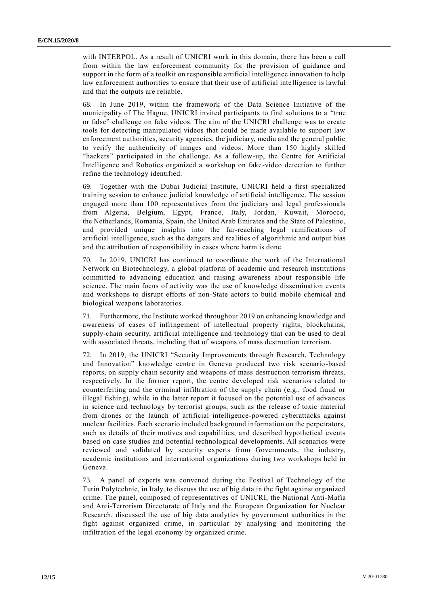with INTERPOL. As a result of UNICRI work in this domain, there has been a call from within the law enforcement community for the provision of guidance and support in the form of a toolkit on responsible artificial intelligence innovation to help law enforcement authorities to ensure that their use of artificial intelligence is lawful and that the outputs are reliable.

68. In June 2019, within the framework of the Data Science Initiative of the municipality of The Hague, UNICRI invited participants to find solutions to a "true or false" challenge on fake videos. The aim of the UNICRI challenge was to create tools for detecting manipulated videos that could be made available to support law enforcement authorities, security agencies, the judiciary, media and the general public to verify the authenticity of images and videos. More than 150 highly skilled "hackers" participated in the challenge. As a follow-up, the Centre for Artificial Intelligence and Robotics organized a workshop on fake-video detection to further refine the technology identified.

69. Together with the Dubai Judicial Institute, UNICRI held a first specialized training session to enhance judicial knowledge of artificial intelligence. The session engaged more than 100 representatives from the judiciary and legal professionals from Algeria, Belgium, Egypt, France, Italy, Jordan, Kuwait, Morocco, the Netherlands, Romania, Spain, the United Arab Emirates and the State of Palestine, and provided unique insights into the far-reaching legal ramifications of artificial intelligence, such as the dangers and realities of algorithmic and output bias and the attribution of responsibility in cases where harm is done.

70. In 2019, UNICRI has continued to coordinate the work of the International Network on Biotechnology, a global platform of academic and research institutions committed to advancing education and raising awareness about responsible life science. The main focus of activity was the use of knowledge dissemination events and workshops to disrupt efforts of non-State actors to build mobile chemical and biological weapons laboratories.

71. Furthermore, the Institute worked throughout 2019 on enhancing knowledge and awareness of cases of infringement of intellectual property rights, blockchains, supply-chain security, artificial intelligence and technology that can be used to deal with associated threats, including that of weapons of mass destruction terrorism.

72. In 2019, the UNICRI "Security Improvements through Research, Technology and Innovation" knowledge centre in Geneva produced two risk scenario-based reports, on supply chain security and weapons of mass destruction terrorism threats, respectively. In the former report, the centre developed risk scenarios related to counterfeiting and the criminal infiltration of the supply chain (e.g., food fraud or illegal fishing), while in the latter report it focused on the potential use of advances in science and technology by terrorist groups, such as the release of toxic material from drones or the launch of artificial intelligence-powered cyberattacks against nuclear facilities. Each scenario included background information on the perpetrators, such as details of their motives and capabilities, and described hypothetical events based on case studies and potential technological developments. All scenarios were reviewed and validated by security experts from Governments, the industry, academic institutions and international organizations during two workshops held in Geneva.

73. A panel of experts was convened during the Festival of Technology of the Turin Polytechnic, in Italy, to discuss the use of big data in the fight against organized crime. The panel, composed of representatives of UNICRI, the National Anti-Mafia and Anti-Terrorism Directorate of Italy and the European Organization for Nuclear Research, discussed the use of big data analytics by government authorities in the fight against organized crime, in particular by analysing and monitoring the infiltration of the legal economy by organized crime.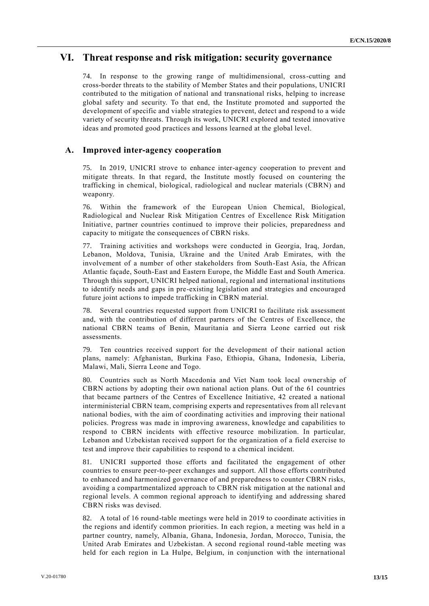#### **VI. Threat response and risk mitigation: security governance**

In response to the growing range of multidimensional, cross-cutting and cross-border threats to the stability of Member States and their populations, UNICRI contributed to the mitigation of national and transnational risks, helping to increase global safety and security. To that end, the Institute promoted and supported the development of specific and viable strategies to prevent, detect and respond to a wide variety of security threats. Through its work, UNICRI explored and tested innovative ideas and promoted good practices and lessons learned at the global level.

#### **A. Improved inter-agency cooperation**

75. In 2019, UNICRI strove to enhance inter-agency cooperation to prevent and mitigate threats. In that regard, the Institute mostly focused on countering the trafficking in chemical, biological, radiological and nuclear materials (CBRN) and weaponry.

76. Within the framework of the European Union Chemical, Biological, Radiological and Nuclear Risk Mitigation Centres of Excellence Risk Mitigation Initiative, partner countries continued to improve their policies, preparedness and capacity to mitigate the consequences of CBRN risks.

77. Training activities and workshops were conducted in Georgia, Iraq, Jordan, Lebanon, Moldova, Tunisia, Ukraine and the United Arab Emirates, with the involvement of a number of other stakeholders from South-East Asia, the African Atlantic façade, South-East and Eastern Europe, the Middle East and South America. Through this support, UNICRI helped national, regional and international institutions to identify needs and gaps in pre-existing legislation and strategies and encouraged future joint actions to impede trafficking in CBRN material.

78. Several countries requested support from UNICRI to facilitate risk assessment and, with the contribution of different partners of the Centres of Excellence, the national CBRN teams of Benin, Mauritania and Sierra Leone carried out risk assessments.

79. Ten countries received support for the development of their national action plans, namely: Afghanistan, Burkina Faso, Ethiopia, Ghana, Indonesia, Liberia, Malawi, Mali, Sierra Leone and Togo.

80. Countries such as North Macedonia and Viet Nam took local ownership of CBRN actions by adopting their own national action plans. Out of the 61 countries that became partners of the Centres of Excellence Initiative, 42 created a national interministerial CBRN team, comprising experts and representatives from all relevant national bodies, with the aim of coordinating activities and improving their national policies. Progress was made in improving awareness, knowledge and capabilities to respond to CBRN incidents with effective resource mobilization. In particular, Lebanon and Uzbekistan received support for the organization of a field exercise to test and improve their capabilities to respond to a chemical incident.

81. UNICRI supported those efforts and facilitated the engagement of other countries to ensure peer-to-peer exchanges and support. All those efforts contributed to enhanced and harmonized governance of and preparedness to counter CBRN risks, avoiding a compartmentalized approach to CBRN risk mitigation at the national and regional levels. A common regional approach to identifying and addressing shared CBRN risks was devised.

82. A total of 16 round-table meetings were held in 2019 to coordinate activities in the regions and identify common priorities. In each region, a meeting was held in a partner country, namely, Albania, Ghana, Indonesia, Jordan, Morocco, Tunisia, the United Arab Emirates and Uzbekistan. A second regional round-table meeting was held for each region in La Hulpe, Belgium, in conjunction with the international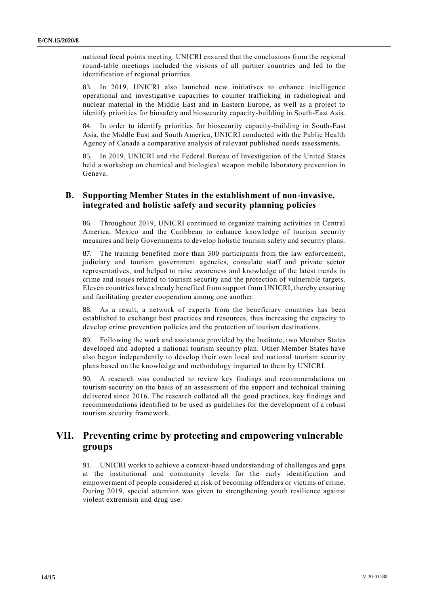national focal points meeting. UNICRI ensured that the conclusions from the regional round-table meetings included the visions of all partner countries and led to the identification of regional priorities.

83. In 2019, UNICRI also launched new initiatives to enhance intelligence operational and investigative capacities to counter trafficking in radiological and nuclear material in the Middle East and in Eastern Europe, as well as a project to identify priorities for biosafety and biosecurity capacity-building in South-East Asia.

84. In order to identify priorities for biosecurity capacity-building in South-East Asia, the Middle East and South America, UNICRI conducted with the Public Health Agency of Canada a comparative analysis of relevant published needs assessments.

85. In 2019, UNICRI and the Federal Bureau of Investigation of the United States held a workshop on chemical and biological weapon mobile laboratory prevention in Geneva.

#### **B. Supporting Member States in the establishment of non-invasive, integrated and holistic safety and security planning policies**

86. Throughout 2019, UNICRI continued to organize training activities in Central America, Mexico and the Caribbean to enhance knowledge of tourism security measures and help Governments to develop holistic tourism safety and security plans.

87. The training benefited more than 300 participants from the law enforcement, judiciary and tourism government agencies, consulate staff and private sector representatives, and helped to raise awareness and knowledge of the latest trends in crime and issues related to tourism security and the protection of vulnerable targets. Eleven countries have already benefited from support from UNICRI, thereby ensuring and facilitating greater cooperation among one another.

88. As a result, a network of experts from the beneficiary countries has been established to exchange best practices and resources, thus increasing the capacity to develop crime prevention policies and the protection of tourism destinations.

89. Following the work and assistance provided by the Institute, two Member States developed and adopted a national tourism security plan. Other Member States have also begun independently to develop their own local and national tourism security plans based on the knowledge and methodology imparted to them by UNICRI.

90. A research was conducted to review key findings and recommendations on tourism security on the basis of an assessment of the support and technical training delivered since 2016. The research collated all the good practices, key findings and recommendations identified to be used as guidelines for the development of a robust tourism security framework.

### **VII. Preventing crime by protecting and empowering vulnerable groups**

91. UNICRI works to achieve a context-based understanding of challenges and gaps at the institutional and community levels for the early identification and empowerment of people considered at risk of becoming offenders or victims of crime. During 2019, special attention was given to strengthening youth resilience against violent extremism and drug use.